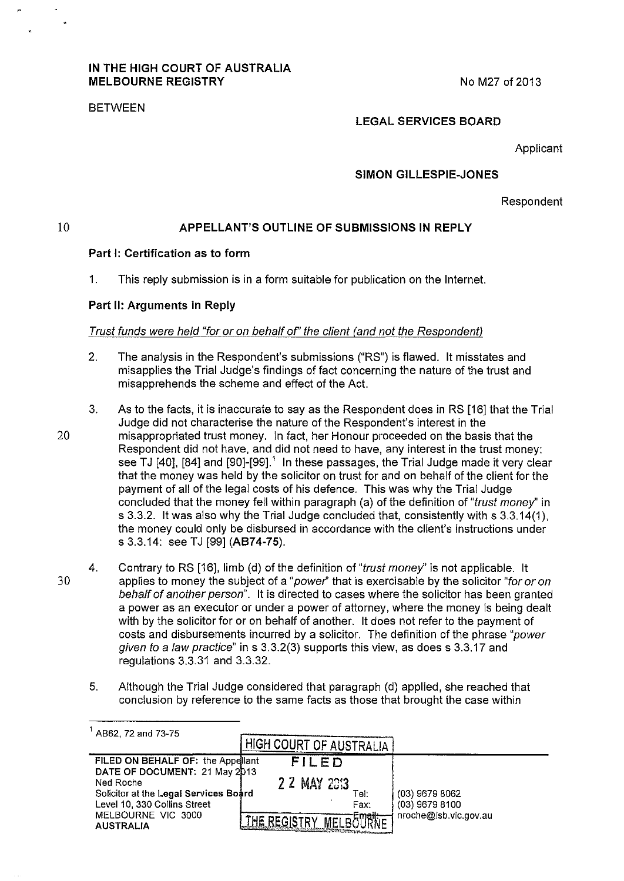# IN THE HIGH COURT OF AUSTRALIA MELBOURNE REGISTRY NO M27 of 2013

# BETWEEN

# LEGAL SERVICES BOARD

Applicant

# SIMON GILLESPIE-JONES

Respondent

10

# APPELLANT'S OUTLINE OF SUBMISSIONS IN REPLY

# Part 1: Certification as to form

1. This reply submission is in a form suitable for publication on the Internet.

#### Part II: Arguments in Reply

### Trust funds were held "for or on behalf of' the client (and not the Respondent)

- 2. The analysis in the Respondent's submissions ("RS") is flawed. It misstates and misapplies the Trial Judge's findings of fact concerning the nature of the trust and misapprehends the scheme and effect of the Act.
- 3. As to the facts, it is inaccurate to say as the Respondent does in RS [16] that the Trial Judge did not characterise the nature of the Respondent's interest in the 20 misappropriated trust money. In fact, her Honour proceeded on the basis that the Respondent did not have, and did not need to have, any interest in the trust money: see TJ [40], [84] and [90]-[99].<sup>1</sup> In these passages, the Trial Judge made it very clear that the money was held by the solicitor on trust for and on behalf of the client for the payment of all of the legal costs of his defence. This was why the Trial Judge concluded that the money fell within paragraph (a) of the definition of "trust money'' in s 3.3.2. It was also why the Trial Judge concluded that, consistently with s 3.3.14(1 ), the money could only be disbursed in accordance with the client's instructions under s 3.3.14: see TJ [99] (AB74-75).
- 4. Contrary to RS [16], limb (d) of the definition of "trust money" is not applicable. It 30 applies to money the subject of a "power" that is exercisable by the solicitor "for or on behalf of another person". It is directed to cases where the solicitor has been granted a power as an executor or under a power of attorney, where the money is being dealt with by the solicitor for or on behalf of another. It does not refer to the payment of costs and disbursements incurred by a solicitor. The definition of the phrase "power given to a Jaw practice" in s 3.3.2(3) supports this view, as does s 3.3.17 and regulations 3.3.31 and 3.3.32.
	- 5. Although the Trial Judge considered that paragraph (d) applied, she reached that conclusion by reference to the same facts as those that brought the case within

| AB62, 72 and 73-75                                                    |                             |                                      |
|-----------------------------------------------------------------------|-----------------------------|--------------------------------------|
|                                                                       | . HIGH COURT OF AUSTRALIA ' |                                      |
| FILED ON BEHALF OF: the Appellant<br>DATE OF DOCUMENT: 21 May 2013    | FILED                       |                                      |
| Ned Roche                                                             | 2 2 MAY 23:3                |                                      |
| Solicitor at the Legal Services Board<br>Level 10, 330 Collins Street | Tel:<br>Fax:                | $(03)$ 9679 8062<br>$(03)$ 9679 8100 |
| MELBOURNE VIC 3000<br><b>AUSTRALIA</b>                                |                             | nroche@lsb.vic.gov.au                |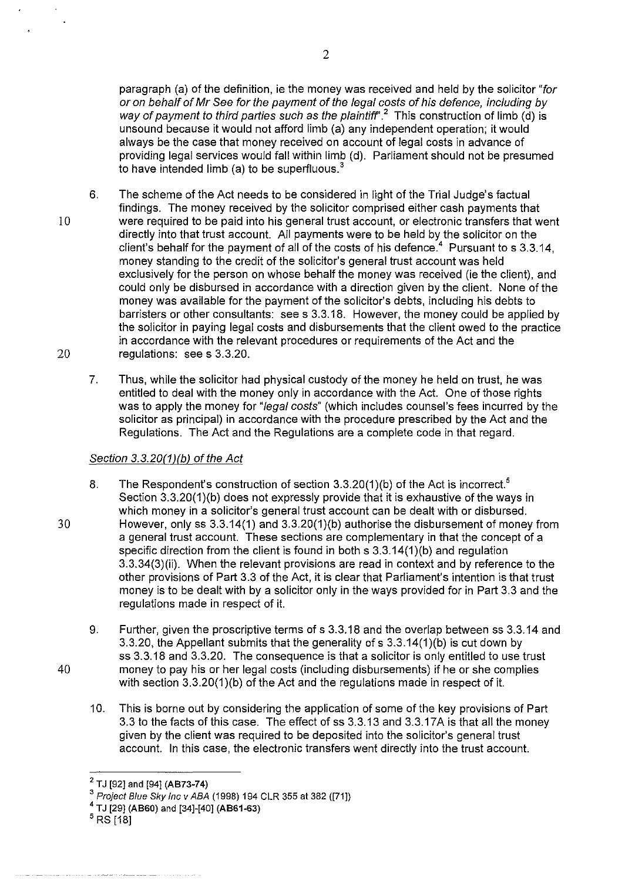paragraph (a) of the definition, ie the money was received and held by the solicitor "for or on behalf of Mr See for the payment of the legal costs of his defence, including by way of payment to third parties such as the plaintiff'.*2* This construction of limb (d) is unsound because it would not afford limb (a) any independent operation; it would always be the case that money received on account of legal costs in advance of providing legal services would fall within limb (d). Parliament should not be presumed to have intended limb (a) to be superfluous. $3$ 

- 6. The scheme of the Act needs to be considered in light of the Trial Judge's factual findings. The money received by the solicitor comprised either cash payments that 10 were required to be paid into his general trust account, or electronic transfers that went directly into that trust account. All payments were to be held by the solicitor on the client's behalf for the payment of all of the costs of his defence.<sup>4</sup> Pursuant to s  $3.3.14$ , money standing to the credit of the solicitor's general trust account was held exclusively for the person on whose behalf the money was received (ie the client), and could only be disbursed in accordance with a direction given by the client. None of the money was available for the payment of the solicitor's debts, including his debts to barristers or other consultants: see s 3.3.18. However, the money could be applied by the solicitor in paying legal costs and disbursements that the client owed to the practice in accordance with the relevant procedures or requirements of the Act and the 20 regulations: sees 3.3.20.
	- 7. Thus, while the solicitor had physical custody of the money he held on trust, he was entitled to deal with the money only in accordance with the Act. One of those rights was to apply the money for "legal costs" (which includes counsel's fees incurred by the solicitor as principal) in accordance with the procedure prescribed by the Act and the Regulations. The Act and the Regulations are a complete code in that regard.

# Section 3.3.20(1)(b) of the Act

- 8. The Respondent's construction of section  $3.3.20(1)(b)$  of the Act is incorrect.<sup>5</sup> Section 3.3.20(1)(b) does not expressly provide that it is exhaustive of the ways in which money in a solicitor's general trust account can be dealt with or disbursed. 30 However, only ss 3.3.14(1) and 3.3.20(1)(b) authorise the disbursement of money from a general trust account. These sections are complementary in that the concept of a specific direction from the client is found in both s 3.3.14(1)(b) and regulation 3.3.34(3)(ii). When the relevant provisions are read in context and by reference to the other provisions of Part 3.3 of the Act, it is clear that Parliament's intention is that trust money is to be dealt with by a solicitor only in the ways provided for in Part 3.3 and the regulations made in respect of it.
- 9. Further, given the proscriptive terms of s 3.3.18 and the overlap between ss 3.3.14 and 3.3.20, the Appellant submits that the generality of s 3.3.14(1 )(b) is cut down by ss 3.3.18 and 3.3.20. The consequence is that a solicitor is only entitled to use trust 40 money to pay his or her legal costs (including disbursements) if he or she complies with section 3.3.20(1)(b) of the Act and the regulations made in respect of it.
	- 10. This is borne out by considering the application of some of the key provisions of Part 3.3 to the facts of this case. The effect of ss 3.3.13 and 3.3.17 A is that all the money given by the client was required to be deposited into the solicitor's general trust account. In this case, the electronic transfers went directly into the trust account.

2

 $2$  TJ [92] and [94] (AB73-74)

<sup>&</sup>lt;sup>3</sup> Project Blue *Sky Inc v ABA* (1998) 194 CLR 355 at 382 ([71]) <br><sup>4</sup> TJ [29] (AB60) and [34]-[40] (AB61-63)

 $<sup>5</sup> RS[18]$ </sup>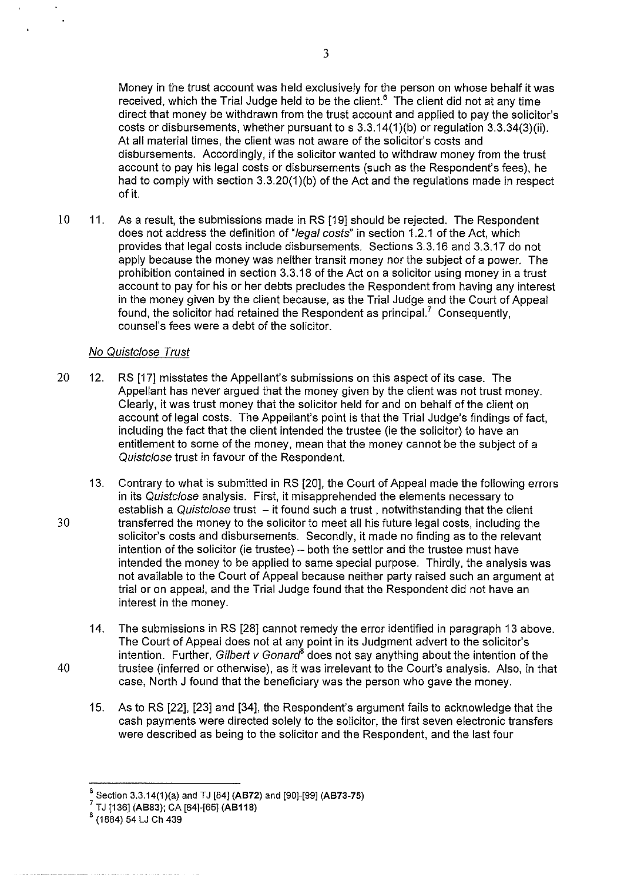Money in the trust account was held exclusively for the person on whose behalf it was received, which the Trial Judge held to be the client.<sup>6</sup> The client did not at any time direct that money be withdrawn from the trust account and applied to pay the solicitor's costs or disbursements, whether pursuant to s 3.3.14(1)(b) or regulation 3.3.34(3)(ii). At all material times, the client was not aware of the solicitor's costs and disbursements. Accordingly, if the solicitor wanted to withdraw money from the trust account to pay his legal costs or disbursements (such as the Respondent's fees), he had to comply with section 3.3.20(1)(b) of the Act and the regulations made in respect of it.

10 11. As a result, the submissions made in RS [19] should be rejected. The Respondent does not address the definition of "legal costs" in section 1.2.1 of the Act, which provides that legal costs include disbursements. Sections 3.3.16 and 3.3.17 do not apply because the money was neither transit money nor the subject of a power. The prohibition contained in section 3.3.18 of the Act on a solicitor using money in a trust account to pay for his or her debts precludes the Respondent from having any interest in the money given by the client because, as the Trial Judge and the Court of Appeal found, the solicitor had retained the Respondent as principal.<sup>7</sup> Consequently, counsel's fees were a debt of the solicitor.

# No Quistclose Trust

- 20 12. RS [17] misstates the Appellant's submissions on this aspect of its case. The Appellant has never argued that the money given by the client was not trust money. Clearly, it was trust money that the solicitor held for and on behalf of the client on account of legal costs. The Appellant's point is that the Trial Judge's findings of fact, including the fact that the client intended the trustee (ie the solicitor) to have an entitlement to some of the money, mean that the money cannot be the subject of a Quistclose trust in favour of the Respondent.
- 13. Contrary to what is submitted in RS [20], the Court of Appeal made the following errors in its Quistclose analysis. First, it misapprehended the elements necessary to establish a Quistclose trust  $-$  it found such a trust, notwithstanding that the client 30 transferred the money to the solicitor to meet all his future legal costs, including the solicitor's costs and disbursements. Secondly, it made no finding as to the relevant intention of the solicitor (ie trustee) - both the settlor and the trustee must have intended the money to be applied to same special purpose. Thirdly, the analysis was not available to the Court of Appeal because neither party raised such an argument at trial or on appeal, and the Trial Judge found that the Respondent did not have an interest in the money.
- 14. The submissions in RS [28] cannot remedy the error identified in paragraph 13 above. The Court of Appeal does not at any point in its Judgment advert to the solicitor's intention. Further, Gilbert v Gonard<sup>8</sup> does not say anything about the intention of the 40 trustee (inferred or otherwise), as it was irrelevant to the Court's analysis. Also, in that case, North J found that the beneficiary was the person who gave the money.
	- 15. As to RS [22], [23] and [34], the Respondent's argument fails to acknowledge that the cash payments were directed solely to the solicitor, the first seven electronic transfers were described as being to the solicitor and the Respondent, and the last four



 $^6$  Section 3.3.14(1)(a) and TJ [84] (AB72) and [90]-[99] (AB73-75)<br><sup>7</sup> TJ [136] (AB83); CA [64]-[65] (AB118)

 $8(1884)$  54 LJ Ch 439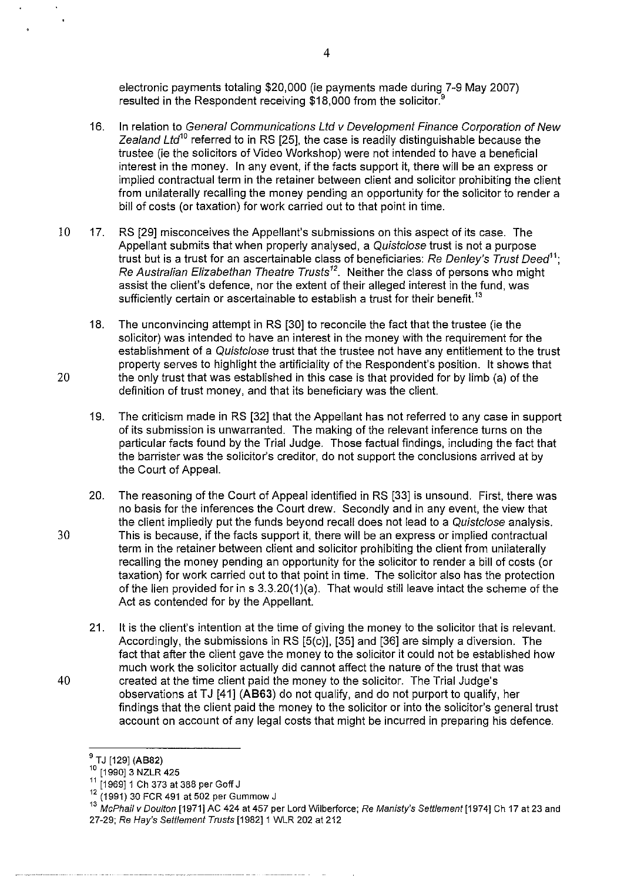electronic payments totaling \$20,000 (ie payments made during 7-9 May 2007) resulted in the Respondent receiving \$18,000 from the solicitor.<sup>9</sup>

- 16. In relation to General Communications Ltd v Development Finance Corporation of New Zealand Ltd<sup>10</sup> referred to in RS [25], the case is readily distinguishable because the trustee (ie the solicitors of Video Workshop) were not intended to have a beneficial interest in the money. In any event, if the facts support it, there will be an express or implied contractual term in the retainer between client and solicitor prohibiting the client from unilaterally recalling the money pending an opportunity for the solicitor to render a bill of costs (or taxation) for work carried out to that point in time.
- 10 17. RS [29] misconceives the Appellant's submissions on this aspect of its case. The Appellant submits that when properly analysed, a Quistclose trust is not a purpose trust but is a trust for an ascertainable class of beneficiaries: Re Denley's Trust Deed*<sup>11</sup> ;*  Re Australian Elizabethan Theatre Trusts*12.* Neither the class of persons who might assist the client's defence, nor the extent of their alleged interest in the fund, was sufficiently certain or ascertainable to establish a trust for their benefit.<sup>13</sup>
- 18. The unconvincing attempt in RS [30] to reconcile the fact that the trustee (ie the solicitor) was intended to have an interest in the money with the requirement for the establishment of a Quistclose trust that the trustee not have any entitlement to the trust property serves to highlight the artificiality of the Respondent's position. It shows that 20 the only trust that was established in this case is that provided for by limb (a) of the definition of trust money, and that its beneficiary was the client.
	- 19. The criticism made in RS [32] that the Appellant has not referred to any case in support of its submission is unwarranted. The making of the relevant inference turns on the particular facts found by the Trial Judge. Those factual findings, including the fact that the barrister was the solicitor's creditor, do not support the conclusions arrived at by the Court of Appeal.
- 20. The reasoning of the Court of Appeal identified in RS [33] is unsound. First, there was no basis for the inferences the Court drew. Secondly and in any event, the view that the client impliedly put the funds beyond recall does not lead to a Quistclose analysis. 30 This is because, if the facts support it, there will be an express or implied contractual term in the retainer between client and solicitor prohibiting the client from unilaterally recalling the money pending an opportunity for the solicitor to render a bill of costs (or taxation) for work carried out to that point in time. The solicitor also has the protection of the lien provided for in s  $3.3.20(1)(a)$ . That would still leave intact the scheme of the Act as contended for by the Appellant.
- 21. It is the client's intention at the time of giving the money to the solicitor that is relevant. Accordingly, the submissions in RS [5(c)], [35] and [36] are simply a diversion. The fact that after the client gave the money to the solicitor it could not be established how much work the solicitor actually did cannot affect the nature of the trust that was 40 created at the time client paid the money to the solicitor. The Trial Judge's observations at TJ [41] **(AB63)** do not qualify, and do not purport to qualify, her findings that the client paid the money to the solicitor or into the solicitor's general trust account on account of any legal costs that might be incurred in preparing his defence.

<sup>&</sup>lt;sup>9</sup> TJ [129] (AB82)

<sup>&</sup>lt;sup>10</sup> [1990] 3 NZLR 425

<sup>11 [1969] 1</sup> Ch 373 at 388 per Goff J

<sup>12 (1991) 30</sup> FCR 491 at 502 per Gum mow J

<sup>&</sup>lt;sup>13</sup> McPhail v Doulton [1971] AC 424 at 457 per Lord Wilberforce; Re Manisty's Settlement [1974] Ch 17 at 23 and 27-29; Re Hay's Settlement Trusts [1982]1 WLR 202 at 212